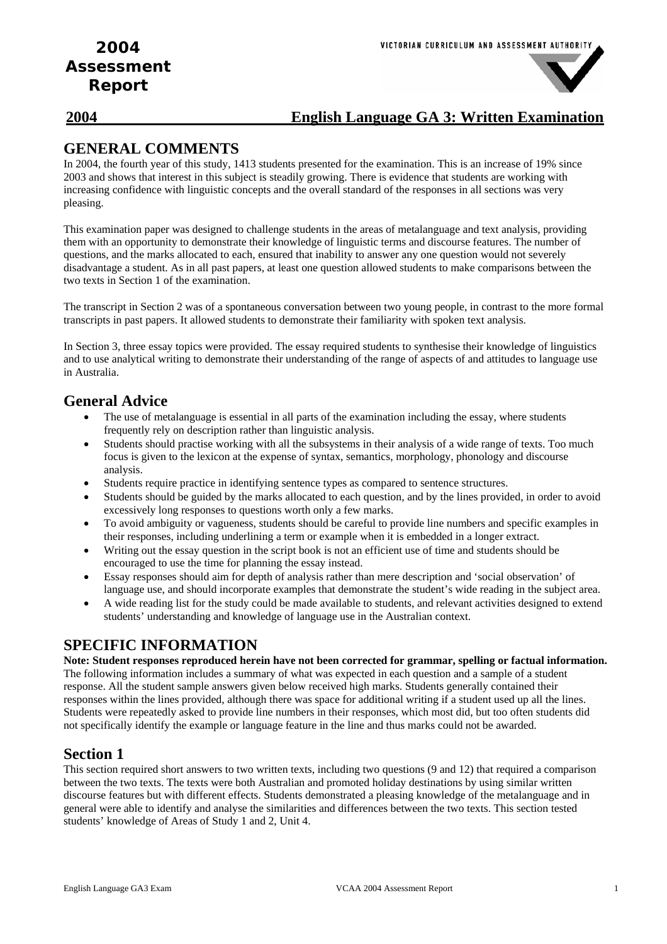### **2004 English Language GA 3: Written Examination**

### **GENERAL COMMENTS**

In 2004, the fourth year of this study, 1413 students presented for the examination. This is an increase of 19% since 2003 and shows that interest in this subject is steadily growing. There is evidence that students are working with increasing confidence with linguistic concepts and the overall standard of the responses in all sections was very pleasing.

This examination paper was designed to challenge students in the areas of metalanguage and text analysis, providing them with an opportunity to demonstrate their knowledge of linguistic terms and discourse features. The number of questions, and the marks allocated to each, ensured that inability to answer any one question would not severely disadvantage a student. As in all past papers, at least one question allowed students to make comparisons between the two texts in Section 1 of the examination.

The transcript in Section 2 was of a spontaneous conversation between two young people, in contrast to the more formal transcripts in past papers. It allowed students to demonstrate their familiarity with spoken text analysis.

In Section 3, three essay topics were provided. The essay required students to synthesise their knowledge of linguistics and to use analytical writing to demonstrate their understanding of the range of aspects of and attitudes to language use in Australia.

## **General Advice**

- The use of metalanguage is essential in all parts of the examination including the essay, where students frequently rely on description rather than linguistic analysis.
- Students should practise working with all the subsystems in their analysis of a wide range of texts. Too much focus is given to the lexicon at the expense of syntax, semantics, morphology, phonology and discourse analysis.
- Students require practice in identifying sentence types as compared to sentence structures.
- Students should be guided by the marks allocated to each question, and by the lines provided, in order to avoid excessively long responses to questions worth only a few marks.
- To avoid ambiguity or vagueness, students should be careful to provide line numbers and specific examples in their responses, including underlining a term or example when it is embedded in a longer extract.
- Writing out the essay question in the script book is not an efficient use of time and students should be encouraged to use the time for planning the essay instead.
- Essay responses should aim for depth of analysis rather than mere description and 'social observation' of language use, and should incorporate examples that demonstrate the student's wide reading in the subject area.
- A wide reading list for the study could be made available to students, and relevant activities designed to extend students' understanding and knowledge of language use in the Australian context.

### **SPECIFIC INFORMATION**

**Note: Student responses reproduced herein have not been corrected for grammar, spelling or factual information.**  The following information includes a summary of what was expected in each question and a sample of a student response. All the student sample answers given below received high marks. Students generally contained their responses within the lines provided, although there was space for additional writing if a student used up all the lines. Students were repeatedly asked to provide line numbers in their responses, which most did, but too often students did not specifically identify the example or language feature in the line and thus marks could not be awarded.

## **Section 1**

This section required short answers to two written texts, including two questions (9 and 12) that required a comparison between the two texts. The texts were both Australian and promoted holiday destinations by using similar written discourse features but with different effects. Students demonstrated a pleasing knowledge of the metalanguage and in general were able to identify and analyse the similarities and differences between the two texts. This section tested students' knowledge of Areas of Study 1 and 2, Unit 4.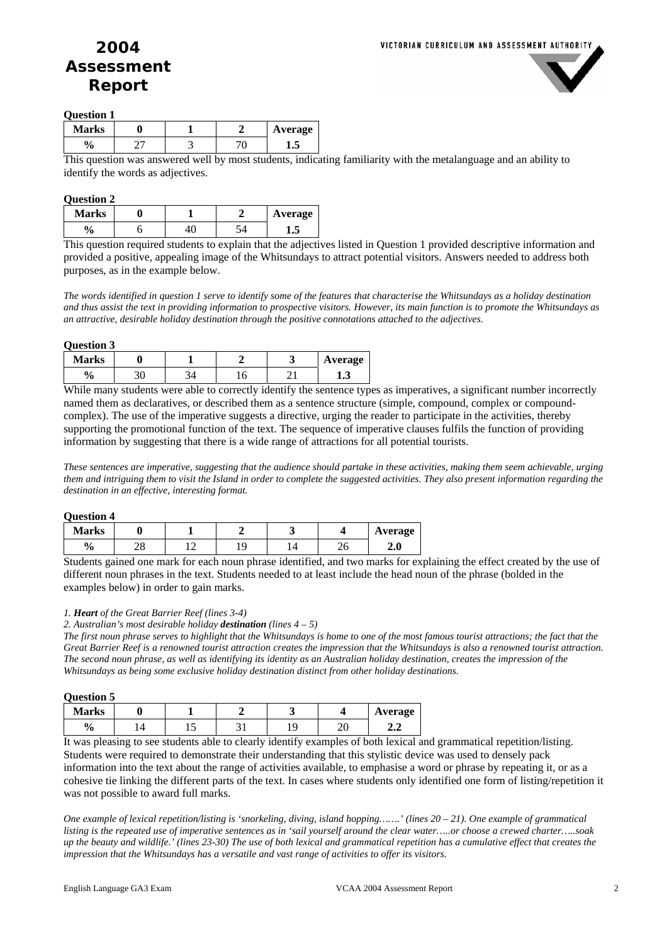

#### **Question 1**

| <b>Marks</b> |  | Average |
|--------------|--|---------|
| 0.<br>΄0     |  | د.      |

This question was answered well by most students, indicating familiarity with the metalanguage and an ability to identify the words as adjectives.

#### **Question 2**

| <b>Marks</b> |  | Average |
|--------------|--|---------|
| o            |  | نە قا   |

This question required students to explain that the adjectives listed in Question 1 provided descriptive information and provided a positive, appealing image of the Whitsundays to attract potential visitors. Answers needed to address both purposes, as in the example below.

*The words identified in question 1 serve to identify some of the features that characterise the Whitsundays as a holiday destination and thus assist the text in providing information to prospective visitors. However, its main function is to promote the Whitsundays as an attractive, desirable holiday destination through the positive connotations attached to the adjectives.* 

| <b>Question 3</b> |  |
|-------------------|--|
|-------------------|--|

| <b>Marks</b>  |    |     | ັ   | Average |
|---------------|----|-----|-----|---------|
| $\frac{6}{9}$ | JU | ⊥ ∪ | - 1 | 1.J     |

While many students were able to correctly identify the sentence types as imperatives, a significant number incorrectly named them as declaratives, or described them as a sentence structure (simple, compound, complex or compoundcomplex). The use of the imperative suggests a directive, urging the reader to participate in the activities, thereby supporting the promotional function of the text. The sequence of imperative clauses fulfils the function of providing information by suggesting that there is a wide range of attractions for all potential tourists.

*These sentences are imperative, suggesting that the audience should partake in these activities, making them seem achievable, urging them and intriguing them to visit the Island in order to complete the suggested activities. They also present information regarding the destination in an effective, interesting format.* 

| <b>Question 4</b> |  |
|-------------------|--|
|-------------------|--|

| <b>Marks</b>  |          |  |        | Average |
|---------------|----------|--|--------|---------|
| $\frac{0}{0}$ | າດ<br>∠ο |  | $\sim$ | 4.U     |

Students gained one mark for each noun phrase identified, and two marks for explaining the effect created by the use of different noun phrases in the text. Students needed to at least include the head noun of the phrase (bolded in the examples below) in order to gain marks.

#### *1. Heart of the Great Barrier Reef (lines 3-4)*

*2. Australian's most desirable holiday destination (lines 4 – 5)* 

*The first noun phrase serves to highlight that the Whitsundays is home to one of the most famous tourist attractions; the fact that the Great Barrier Reef is a renowned tourist attraction creates the impression that the Whitsundays is also a renowned tourist attraction. The second noun phrase, as well as identifying its identity as an Australian holiday destination, creates the impression of the Whitsundays as being some exclusive holiday destination distinct from other holiday destinations.* 

| Ouestion) |  |
|-----------|--|
|           |  |

| <b>Marks</b>   |     |                                     |               | Average           |
|----------------|-----|-------------------------------------|---------------|-------------------|
| $\frac{1}{2}$  | ⊥ ~ |                                     | ້             | 4.4               |
| $\mathbf{r}$ . | . . | $\cdot$ . $\sim$<br>$\cdot$ $\cdot$ | $\sim$ $\sim$ | $\sim$ 100 $\sim$ |

It was pleasing to see students able to clearly identify examples of both lexical and grammatical repetition/listing. Students were required to demonstrate their understanding that this stylistic device was used to densely pack information into the text about the range of activities available, to emphasise a word or phrase by repeating it, or as a cohesive tie linking the different parts of the text. In cases where students only identified one form of listing/repetition it was not possible to award full marks.

*One example of lexical repetition/listing is 'snorkeling, diving, island hopping…….' (lines 20 – 21). One example of grammatical listing is the repeated use of imperative sentences as in 'sail yourself around the clear water…..or choose a crewed charter…..soak up the beauty and wildlife.' (lines 23-30) The use of both lexical and grammatical repetition has a cumulative effect that creates the impression that the Whitsundays has a versatile and vast range of activities to offer its visitors.*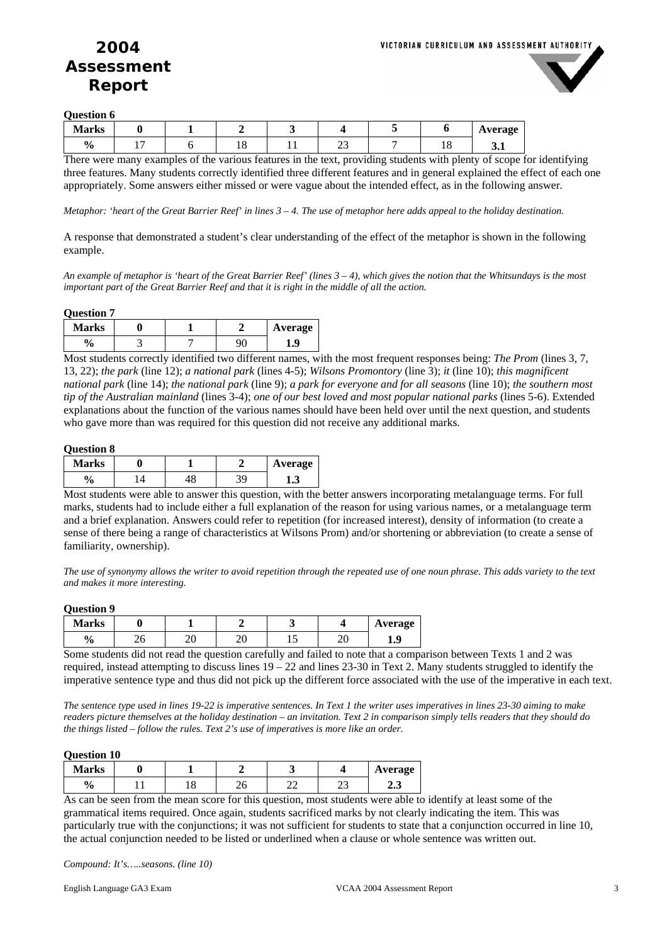

**Question 6** 

| <b>Marks</b>       |                          |    |   |   | Average |
|--------------------|--------------------------|----|---|---|---------|
| $\mathbf{0}$<br>70 | $\overline{\phantom{0}}$ | *∼ | ت | ິ | ◡…      |
|                    |                          |    |   |   |         |

There were many examples of the various features in the text, providing students with plenty of scope for identifying three features. Many students correctly identified three different features and in general explained the effect of each one appropriately. Some answers either missed or were vague about the intended effect, as in the following answer.

*Metaphor: 'heart of the Great Barrier Reef' in lines 3 – 4. The use of metaphor here adds appeal to the holiday destination.* 

A response that demonstrated a student's clear understanding of the effect of the metaphor is shown in the following example.

*An example of metaphor is 'heart of the Great Barrier Reef' (lines 3 – 4), which gives the notion that the Whitsundays is the most important part of the Great Barrier Reef and that it is right in the middle of all the action.* 

#### **Question 7**

| ,            |  |         |
|--------------|--|---------|
| <b>Marks</b> |  | Average |
| 0<br>΄0      |  | Lo.     |

Most students correctly identified two different names, with the most frequent responses being: *The Prom* (lines 3, 7, 13, 22); *the park* (line 12); *a national park* (lines 4-5); *Wilsons Promontory* (line 3); *it* (line 10); *this magnificent national park* (line 14); *the national park* (line 9); *a park for everyone and for all seasons* (line 10); *the southern most tip of the Australian mainland* (lines 3-4); *one of our best loved and most popular national parks* (lines 5-6). Extended explanations about the function of the various names should have been held over until the next question, and students who gave more than was required for this question did not receive any additional marks.

#### **Question 8**

| <b>Marks</b>      |  | Average |
|-------------------|--|---------|
| $\mathbf 0$<br>'0 |  | 1.J     |

Most students were able to answer this question, with the better answers incorporating metalanguage terms. For full marks, students had to include either a full explanation of the reason for using various names, or a metalanguage term and a brief explanation. Answers could refer to repetition (for increased interest), density of information (to create a sense of there being a range of characteristics at Wilsons Prom) and/or shortening or abbreviation (to create a sense of familiarity, ownership).

*The use of synonymy allows the writer to avoid repetition through the repeated use of one noun phrase. This adds variety to the text and makes it more interesting.* 

#### **Question 9**

| <b>Marks</b>  |    |     |    |     |   | Average       |
|---------------|----|-----|----|-----|---|---------------|
| $\frac{0}{0}$ | ∠∪ | - - | ∠∪ | ⊥ J | ⊷ | <br><b>10</b> |

Some students did not read the question carefully and failed to note that a comparison between Texts 1 and 2 was required, instead attempting to discuss lines  $19 - 22$  and lines 23-30 in Text 2. Many students struggled to identify the imperative sentence type and thus did not pick up the different force associated with the use of the imperative in each text.

*The sentence type used in lines 19-22 is imperative sentences. In Text 1 the writer uses imperatives in lines 23-30 aiming to make readers picture themselves at the holiday destination – an invitation. Text 2 in comparison simply tells readers that they should do the things listed – follow the rules. Text 2's use of imperatives is more like an order.* 

#### **Question 10**

| <b>Marks</b>  |   |     |          |   | Average |
|---------------|---|-----|----------|---|---------|
| $\frac{0}{0}$ | ◡ | - - | 70<br>∠∠ | ت | ∠⊷      |

As can be seen from the mean score for this question, most students were able to identify at least some of the grammatical items required. Once again, students sacrificed marks by not clearly indicating the item. This was particularly true with the conjunctions; it was not sufficient for students to state that a conjunction occurred in line 10, the actual conjunction needed to be listed or underlined when a clause or whole sentence was written out.

*Compound: It's…..seasons. (line 10)*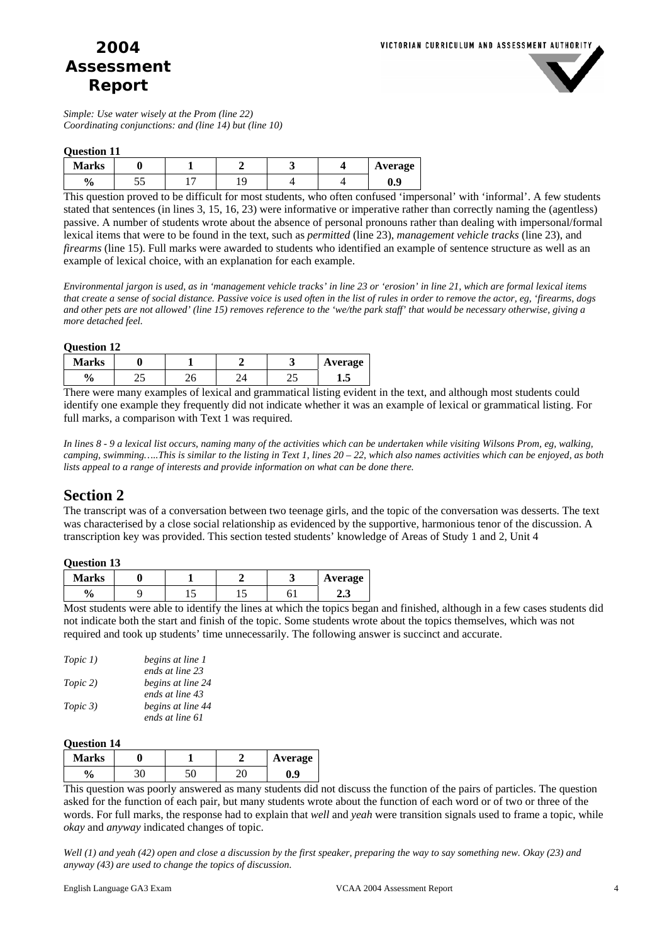

*Simple: Use water wisely at the Prom (line 22) Coordinating conjunctions: and (line 14) but (line 10)* 

### **Question 11**

| <b>Marks</b>  |    |  |  | Average |
|---------------|----|--|--|---------|
| $\frac{0}{0}$ | ັບ |  |  | v.      |

This question proved to be difficult for most students, who often confused 'impersonal' with 'informal'. A few students stated that sentences (in lines 3, 15, 16, 23) were informative or imperative rather than correctly naming the (agentless) passive. A number of students wrote about the absence of personal pronouns rather than dealing with impersonal/formal lexical items that were to be found in the text, such as *permitted* (line 23), *management vehicle tracks* (line 23), and *firearms* (line 15). Full marks were awarded to students who identified an example of sentence structure as well as an example of lexical choice, with an explanation for each example.

*Environmental jargon is used, as in 'management vehicle tracks' in line 23 or 'erosion' in line 21, which are formal lexical items that create a sense of social distance. Passive voice is used often in the list of rules in order to remove the actor, eg, 'firearms, dogs and other pets are not allowed' (line 15) removes reference to the 'we/the park staff' that would be necessary otherwise, giving a more detached feel.* 

| <b>Question 12</b> |               |  |    |         |
|--------------------|---------------|--|----|---------|
| <b>Marks</b>       |               |  |    | Average |
| $\frac{6}{9}$      | ົົ້າ <i>E</i> |  | ∠. |         |

There were many examples of lexical and grammatical listing evident in the text, and although most students could identify one example they frequently did not indicate whether it was an example of lexical or grammatical listing. For full marks, a comparison with Text 1 was required.

*In lines 8 - 9 a lexical list occurs, naming many of the activities which can be undertaken while visiting Wilsons Prom, eg, walking, camping, swimming…..This is similar to the listing in Text 1, lines 20 – 22, which also names activities which can be enjoyed, as both lists appeal to a range of interests and provide information on what can be done there.* 

### **Section 2**

The transcript was of a conversation between two teenage girls, and the topic of the conversation was desserts. The text was characterised by a close social relationship as evidenced by the supportive, harmonious tenor of the discussion. A transcription key was provided. This section tested students' knowledge of Areas of Study 1 and 2, Unit 4

#### **Question 13**

| <b>Marks</b> |     |  | Average |
|--------------|-----|--|---------|
| 'u           | . . |  | ∠.      |

Most students were able to identify the lines at which the topics began and finished, although in a few cases students did not indicate both the start and finish of the topic. Some students wrote about the topics themselves, which was not required and took up students' time unnecessarily. The following answer is succinct and accurate.

| Topic 1) | begins at line 1  |
|----------|-------------------|
|          | ends at line 23   |
| Topic 2) | begins at line 24 |
|          | ends at line 43   |
| Topic 3) | begins at line 44 |
|          | ends at line 61   |

#### **Question 14**

| <b>Marks</b> |  | Average |
|--------------|--|---------|
| 0<br>'0      |  | J.9     |

This question was poorly answered as many students did not discuss the function of the pairs of particles. The question asked for the function of each pair, but many students wrote about the function of each word or of two or three of the words. For full marks, the response had to explain that *well* and *yeah* were transition signals used to frame a topic, while *okay* and *anyway* indicated changes of topic.

*Well (1) and yeah (42) open and close a discussion by the first speaker, preparing the way to say something new. Okay (23) and anyway (43) are used to change the topics of discussion.*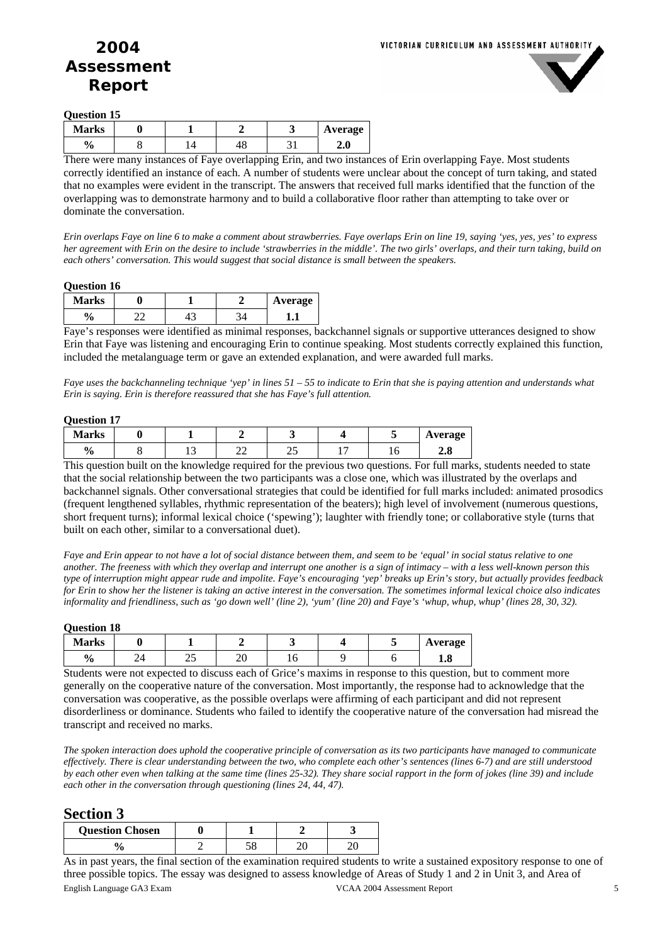

**Question 15** 

| <b>Marks</b> |  |    |   | <b>Average</b> |
|--------------|--|----|---|----------------|
| 0<br>′0      |  | тυ | ັ | 4.U            |

There were many instances of Faye overlapping Erin, and two instances of Erin overlapping Faye. Most students correctly identified an instance of each. A number of students were unclear about the concept of turn taking, and stated that no examples were evident in the transcript. The answers that received full marks identified that the function of the overlapping was to demonstrate harmony and to build a collaborative floor rather than attempting to take over or dominate the conversation.

*Erin overlaps Faye on line 6 to make a comment about strawberries. Faye overlaps Erin on line 19, saying 'yes, yes, yes' to express her agreement with Erin on the desire to include 'strawberries in the middle'. The two girls' overlaps, and their turn taking, build on each others' conversation. This would suggest that social distance is small between the speakers.* 

#### **Question 16**

| <b>Marks</b>      |     | Average |
|-------------------|-----|---------|
| $\mathbf{v}$<br>u | т., |         |

Faye's responses were identified as minimal responses, backchannel signals or supportive utterances designed to show Erin that Faye was listening and encouraging Erin to continue speaking. Most students correctly explained this function, included the metalanguage term or gave an extended explanation, and were awarded full marks.

*Faye uses the backchanneling technique 'yep' in lines 51 – 55 to indicate to Erin that she is paying attention and understands what Erin is saying. Erin is therefore reassured that she has Faye's full attention.* 

#### **Question 17**

| ------------  |  |  |             |           |  |  |         |  |  |
|---------------|--|--|-------------|-----------|--|--|---------|--|--|
| <b>Marks</b>  |  |  |             |           |  |  | Average |  |  |
| $\frac{0}{0}$ |  |  | $\sim$<br>⊷ | nε<br>ں ر |  |  | 4.0     |  |  |

This question built on the knowledge required for the previous two questions. For full marks, students needed to state that the social relationship between the two participants was a close one, which was illustrated by the overlaps and backchannel signals. Other conversational strategies that could be identified for full marks included: animated prosodics (frequent lengthened syllables, rhythmic representation of the beaters); high level of involvement (numerous questions, short frequent turns); informal lexical choice ('spewing'); laughter with friendly tone; or collaborative style (turns that built on each other, similar to a conversational duet).

*Faye and Erin appear to not have a lot of social distance between them, and seem to be 'equal' in social status relative to one another. The freeness with which they overlap and interrupt one another is a sign of intimacy – with a less well-known person this type of interruption might appear rude and impolite. Faye's encouraging 'yep' breaks up Erin's story, but actually provides feedback for Erin to show her the listener is taking an active interest in the conversation. The sometimes informal lexical choice also indicates informality and friendliness, such as 'go down well' (line 2), 'yum' (line 20) and Faye's 'whup, whup, whup' (lines 28, 30, 32).* 

#### **Question 18**

| <b>Marks</b>  |    |   |         |    |  | Average |
|---------------|----|---|---------|----|--|---------|
| $\frac{0}{0}$ | 44 | ت | σr<br>້ | *∿ |  | 1.0     |

Students were not expected to discuss each of Grice's maxims in response to this question, but to comment more generally on the cooperative nature of the conversation. Most importantly, the response had to acknowledge that the conversation was cooperative, as the possible overlaps were affirming of each participant and did not represent disorderliness or dominance. Students who failed to identify the cooperative nature of the conversation had misread the transcript and received no marks.

*The spoken interaction does uphold the cooperative principle of conversation as its two participants have managed to communicate effectively. There is clear understanding between the two, who complete each other's sentences (lines 6-7) and are still understood by each other even when talking at the same time (lines 25-32). They share social rapport in the form of jokes (line 39) and include each other in the conversation through questioning (lines 24, 44, 47).* 

### **Section 3**

| --- - - - - - - - -    |  |  |  |  |  |  |  |  |
|------------------------|--|--|--|--|--|--|--|--|
| <b>Question Chosen</b> |  |  |  |  |  |  |  |  |
|                        |  |  |  |  |  |  |  |  |

English Language GA3 Exam VCAA 2004 Assessment Report 5 As in past years, the final section of the examination required students to write a sustained expository response to one of three possible topics. The essay was designed to assess knowledge of Areas of Study 1 and 2 in Unit 3, and Area of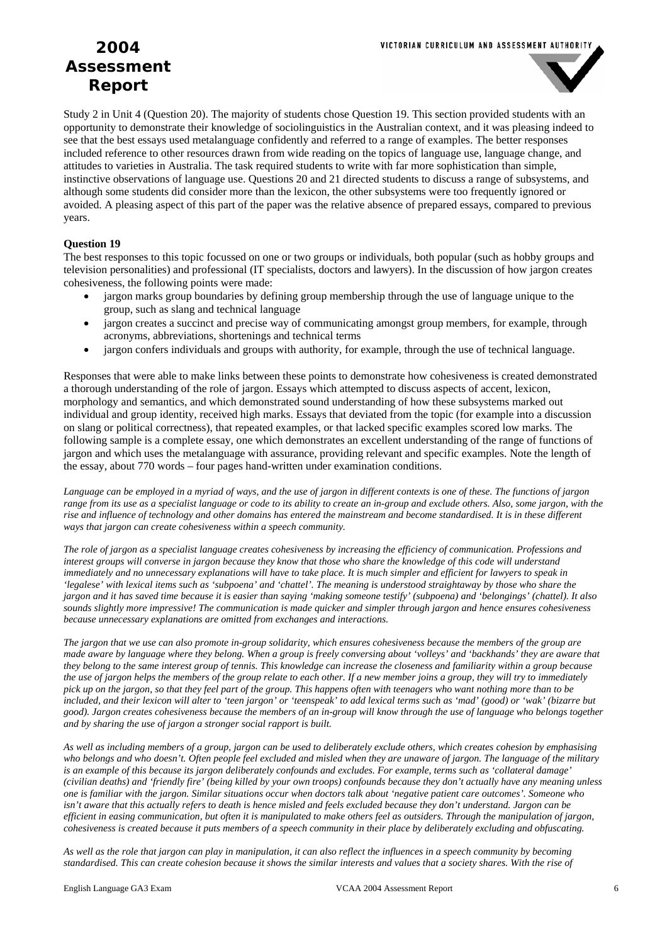

Study 2 in Unit 4 (Question 20). The majority of students chose Question 19. This section provided students with an opportunity to demonstrate their knowledge of sociolinguistics in the Australian context, and it was pleasing indeed to see that the best essays used metalanguage confidently and referred to a range of examples. The better responses included reference to other resources drawn from wide reading on the topics of language use, language change, and attitudes to varieties in Australia. The task required students to write with far more sophistication than simple, instinctive observations of language use. Questions 20 and 21 directed students to discuss a range of subsystems, and although some students did consider more than the lexicon, the other subsystems were too frequently ignored or avoided. A pleasing aspect of this part of the paper was the relative absence of prepared essays, compared to previous years.

#### **Question 19**

The best responses to this topic focussed on one or two groups or individuals, both popular (such as hobby groups and television personalities) and professional (IT specialists, doctors and lawyers). In the discussion of how jargon creates cohesiveness, the following points were made:

- jargon marks group boundaries by defining group membership through the use of language unique to the group, such as slang and technical language
- jargon creates a succinct and precise way of communicating amongst group members, for example, through acronyms, abbreviations, shortenings and technical terms
- jargon confers individuals and groups with authority, for example, through the use of technical language.

Responses that were able to make links between these points to demonstrate how cohesiveness is created demonstrated a thorough understanding of the role of jargon. Essays which attempted to discuss aspects of accent, lexicon, morphology and semantics, and which demonstrated sound understanding of how these subsystems marked out individual and group identity, received high marks. Essays that deviated from the topic (for example into a discussion on slang or political correctness), that repeated examples, or that lacked specific examples scored low marks. The following sample is a complete essay, one which demonstrates an excellent understanding of the range of functions of jargon and which uses the metalanguage with assurance, providing relevant and specific examples. Note the length of the essay, about 770 words – four pages hand-written under examination conditions.

*Language can be employed in a myriad of ways, and the use of jargon in different contexts is one of these. The functions of jargon range from its use as a specialist language or code to its ability to create an in-group and exclude others. Also, some jargon, with the rise and influence of technology and other domains has entered the mainstream and become standardised. It is in these different ways that jargon can create cohesiveness within a speech community.* 

*The role of jargon as a specialist language creates cohesiveness by increasing the efficiency of communication. Professions and interest groups will converse in jargon because they know that those who share the knowledge of this code will understand immediately and no unnecessary explanations will have to take place. It is much simpler and efficient for lawyers to speak in 'legalese' with lexical items such as 'subpoena' and 'chattel'. The meaning is understood straightaway by those who share the jargon and it has saved time because it is easier than saying 'making someone testify' (subpoena) and 'belongings' (chattel). It also sounds slightly more impressive! The communication is made quicker and simpler through jargon and hence ensures cohesiveness because unnecessary explanations are omitted from exchanges and interactions.* 

*The jargon that we use can also promote in-group solidarity, which ensures cohesiveness because the members of the group are made aware by language where they belong. When a group is freely conversing about 'volleys' and 'backhands' they are aware that they belong to the same interest group of tennis. This knowledge can increase the closeness and familiarity within a group because the use of jargon helps the members of the group relate to each other. If a new member joins a group, they will try to immediately pick up on the jargon, so that they feel part of the group. This happens often with teenagers who want nothing more than to be included, and their lexicon will alter to 'teen jargon' or 'teenspeak' to add lexical terms such as 'mad' (good) or 'wak' (bizarre but good). Jargon creates cohesiveness because the members of an in-group will know through the use of language who belongs together and by sharing the use of jargon a stronger social rapport is built.* 

*As well as including members of a group, jargon can be used to deliberately exclude others, which creates cohesion by emphasising who belongs and who doesn't. Often people feel excluded and misled when they are unaware of jargon. The language of the military is an example of this because its jargon deliberately confounds and excludes. For example, terms such as 'collateral damage' (civilian deaths) and 'friendly fire' (being killed by your own troops) confounds because they don't actually have any meaning unless one is familiar with the jargon. Similar situations occur when doctors talk about 'negative patient care outcomes'. Someone who* isn't aware that this actually refers to death is hence misled and feels excluded because they don't understand. Jargon can be *efficient in easing communication, but often it is manipulated to make others feel as outsiders. Through the manipulation of jargon, cohesiveness is created because it puts members of a speech community in their place by deliberately excluding and obfuscating.*

*As well as the role that jargon can play in manipulation, it can also reflect the influences in a speech community by becoming standardised. This can create cohesion because it shows the similar interests and values that a society shares. With the rise of*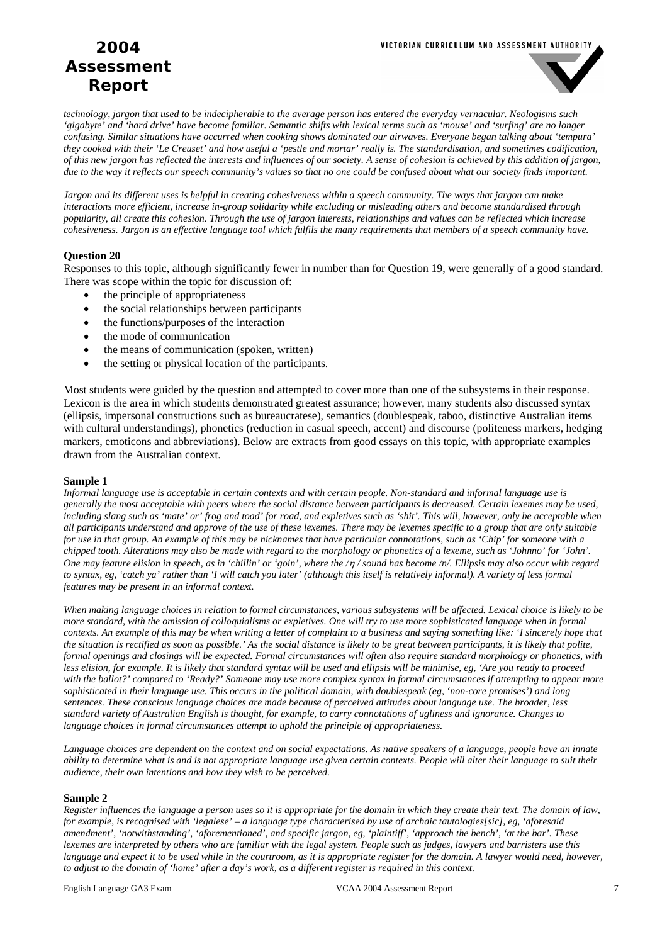#### VICTORIAN CURRICULUM AND ASSESSMENT AUTHORITY

# **2004 Assessment Report**



*technology, jargon that used to be indecipherable to the average person has entered the everyday vernacular. Neologisms such 'gigabyte' and 'hard drive' have become familiar. Semantic shifts with lexical terms such as 'mouse' and 'surfing' are no longer confusing. Similar situations have occurred when cooking shows dominated our airwaves. Everyone began talking about 'tempura' they cooked with their 'Le Creuset' and how useful a 'pestle and mortar' really is. The standardisation, and sometimes codification, of this new jargon has reflected the interests and influences of our society. A sense of cohesion is achieved by this addition of jargon, due to the way it reflects our speech community's values so that no one could be confused about what our society finds important.* 

*Jargon and its different uses is helpful in creating cohesiveness within a speech community. The ways that jargon can make interactions more efficient, increase in-group solidarity while excluding or misleading others and become standardised through popularity, all create this cohesion. Through the use of jargon interests, relationships and values can be reflected which increase cohesiveness. Jargon is an effective language tool which fulfils the many requirements that members of a speech community have.*

#### **Question 20**

Responses to this topic, although significantly fewer in number than for Question 19, were generally of a good standard. There was scope within the topic for discussion of:

- the principle of appropriateness
- the social relationships between participants
- the functions/purposes of the interaction
- the mode of communication
- the means of communication (spoken, written)
- the setting or physical location of the participants.

Most students were guided by the question and attempted to cover more than one of the subsystems in their response. Lexicon is the area in which students demonstrated greatest assurance; however, many students also discussed syntax (ellipsis, impersonal constructions such as bureaucratese), semantics (doublespeak, taboo, distinctive Australian items with cultural understandings), phonetics (reduction in casual speech, accent) and discourse (politeness markers, hedging markers, emoticons and abbreviations). Below are extracts from good essays on this topic, with appropriate examples drawn from the Australian context.

#### **Sample 1**

*Informal language use is acceptable in certain contexts and with certain people. Non-standard and informal language use is generally the most acceptable with peers where the social distance between participants is decreased. Certain lexemes may be used,*  including slang such as 'mate' or' frog and toad' for road, and expletives such as 'shit'. This will, however, only be acceptable when *all participants understand and approve of the use of these lexemes. There may be lexemes specific to a group that are only suitable for use in that group. An example of this may be nicknames that have particular connotations, such as 'Chip' for someone with a chipped tooth. Alterations may also be made with regard to the morphology or phonetics of a lexeme, such as 'Johnno' for 'John'. One may feature elision in speech, as in 'chillin' or 'goin', where the /*η */ sound has become /n/. Ellipsis may also occur with regard to syntax, eg, 'catch ya' rather than 'I will catch you later' (although this itself is relatively informal). A variety of less formal features may be present in an informal context.* 

*When making language choices in relation to formal circumstances, various subsystems will be affected. Lexical choice is likely to be more standard, with the omission of colloquialisms or expletives. One will try to use more sophisticated language when in formal contexts. An example of this may be when writing a letter of complaint to a business and saying something like: 'I sincerely hope that the situation is rectified as soon as possible.' As the social distance is likely to be great between participants, it is likely that polite, formal openings and closings will be expected. Formal circumstances will often also require standard morphology or phonetics, with less elision, for example. It is likely that standard syntax will be used and ellipsis will be minimise, eg, 'Are you ready to proceed with the ballot?' compared to 'Ready?' Someone may use more complex syntax in formal circumstances if attempting to appear more sophisticated in their language use. This occurs in the political domain, with doublespeak (eg, 'non-core promises') and long sentences. These conscious language choices are made because of perceived attitudes about language use. The broader, less standard variety of Australian English is thought, for example, to carry connotations of ugliness and ignorance. Changes to language choices in formal circumstances attempt to uphold the principle of appropriateness.* 

*Language choices are dependent on the context and on social expectations. As native speakers of a language, people have an innate ability to determine what is and is not appropriate language use given certain contexts. People will alter their language to suit their audience, their own intentions and how they wish to be perceived.* 

#### **Sample 2**

*Register influences the language a person uses so it is appropriate for the domain in which they create their text. The domain of law, for example, is recognised with 'legalese' – a language type characterised by use of archaic tautologies[sic], eg, 'aforesaid amendment', 'notwithstanding', 'aforementioned', and specific jargon, eg, 'plaintiff', 'approach the bench', 'at the bar'. These lexemes are interpreted by others who are familiar with the legal system. People such as judges, lawyers and barristers use this*  language and expect it to be used while in the courtroom, as it is appropriate register for the domain. A lawyer would need, however, *to adjust to the domain of 'home' after a day's work, as a different register is required in this context.*